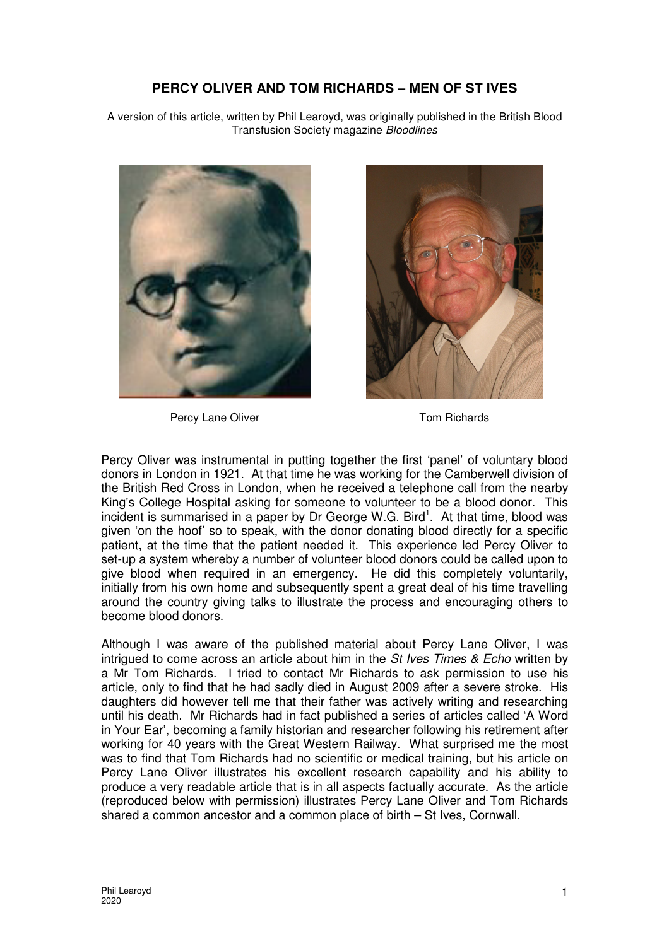## **PERCY OLIVER AND TOM RICHARDS – MEN OF ST IVES**

A version of this article, written by Phil Learoyd, was originally published in the British Blood Transfusion Society magazine Bloodlines



Percy Lane Oliver Tom Richards



Percy Oliver was instrumental in putting together the first 'panel' of voluntary blood donors in London in 1921. At that time he was working for the Camberwell division of the British Red Cross in London, when he received a telephone call from the nearby King's College Hospital asking for someone to volunteer to be a blood donor. This incident is summarised in a paper by Dr George W.G. Bird<sup>1</sup>. At that time, blood was given 'on the hoof' so to speak, with the donor donating blood directly for a specific patient, at the time that the patient needed it. This experience led Percy Oliver to set-up a system whereby a number of volunteer blood donors could be called upon to give blood when required in an emergency. He did this completely voluntarily, initially from his own home and subsequently spent a great deal of his time travelling around the country giving talks to illustrate the process and encouraging others to become blood donors.

Although I was aware of the published material about Percy Lane Oliver, I was intrigued to come across an article about him in the  $St$  Ives Times  $\&$  Echo written by a Mr Tom Richards. I tried to contact Mr Richards to ask permission to use his article, only to find that he had sadly died in August 2009 after a severe stroke. His daughters did however tell me that their father was actively writing and researching until his death. Mr Richards had in fact published a series of articles called 'A Word in Your Ear', becoming a family historian and researcher following his retirement after working for 40 years with the Great Western Railway. What surprised me the most was to find that Tom Richards had no scientific or medical training, but his article on Percy Lane Oliver illustrates his excellent research capability and his ability to produce a very readable article that is in all aspects factually accurate. As the article (reproduced below with permission) illustrates Percy Lane Oliver and Tom Richards shared a common ancestor and a common place of birth – St Ives, Cornwall.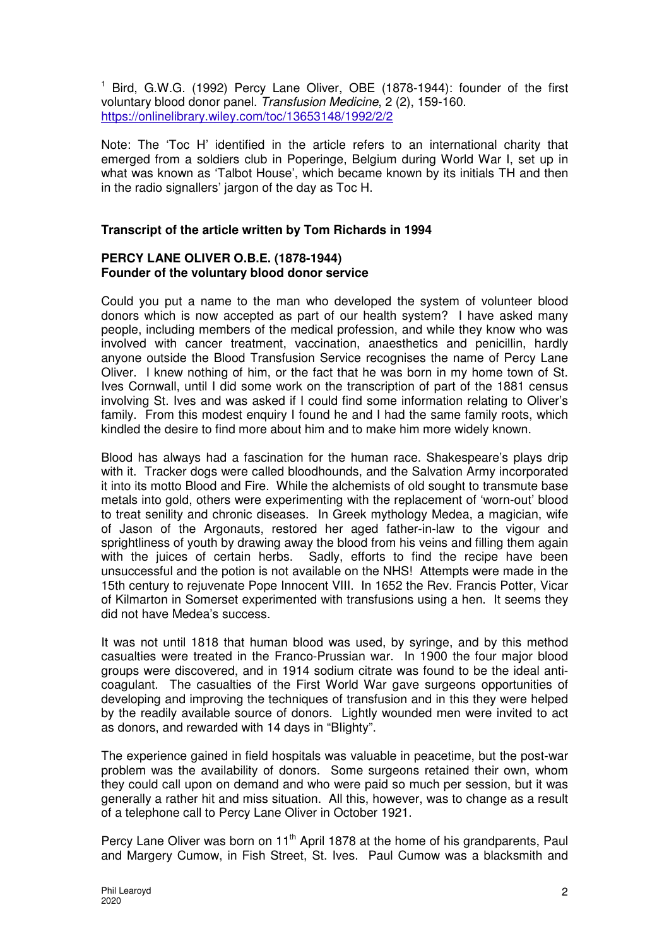<sup>1</sup> Bird, G.W.G. (1992) Percy Lane Oliver, OBE (1878-1944): founder of the first voluntary blood donor panel. Transfusion Medicine, 2 (2), 159-160. https://onlinelibrary.wiley.com/toc/13653148/1992/2/2

Note: The 'Toc H' identified in the article refers to an international charity that emerged from a soldiers club in Poperinge, Belgium during World War I, set up in what was known as 'Talbot House', which became known by its initials TH and then in the radio signallers' jargon of the day as Toc H.

## **Transcript of the article written by Tom Richards in 1994**

## **PERCY LANE OLIVER O.B.E. (1878-1944) Founder of the voluntary blood donor service**

Could you put a name to the man who developed the system of volunteer blood donors which is now accepted as part of our health system? I have asked many people, including members of the medical profession, and while they know who was involved with cancer treatment, vaccination, anaesthetics and penicillin, hardly anyone outside the Blood Transfusion Service recognises the name of Percy Lane Oliver. I knew nothing of him, or the fact that he was born in my home town of St. Ives Cornwall, until I did some work on the transcription of part of the 1881 census involving St. Ives and was asked if I could find some information relating to Oliver's family. From this modest enquiry I found he and I had the same family roots, which kindled the desire to find more about him and to make him more widely known.

Blood has always had a fascination for the human race. Shakespeare's plays drip with it. Tracker dogs were called bloodhounds, and the Salvation Army incorporated it into its motto Blood and Fire. While the alchemists of old sought to transmute base metals into gold, others were experimenting with the replacement of 'worn-out' blood to treat senility and chronic diseases. In Greek mythology Medea, a magician, wife of Jason of the Argonauts, restored her aged father-in-law to the vigour and sprightliness of youth by drawing away the blood from his veins and filling them again with the juices of certain herbs. Sadly, efforts to find the recipe have been unsuccessful and the potion is not available on the NHS! Attempts were made in the 15th century to rejuvenate Pope Innocent VIII. In 1652 the Rev. Francis Potter, Vicar of Kilmarton in Somerset experimented with transfusions using a hen. It seems they did not have Medea's success.

It was not until 1818 that human blood was used, by syringe, and by this method casualties were treated in the Franco-Prussian war. In 1900 the four major blood groups were discovered, and in 1914 sodium citrate was found to be the ideal anticoagulant. The casualties of the First World War gave surgeons opportunities of developing and improving the techniques of transfusion and in this they were helped by the readily available source of donors. Lightly wounded men were invited to act as donors, and rewarded with 14 days in "BIighty".

The experience gained in field hospitals was valuable in peacetime, but the post-war problem was the availability of donors. Some surgeons retained their own, whom they could call upon on demand and who were paid so much per session, but it was generally a rather hit and miss situation. All this, however, was to change as a result of a telephone call to Percy Lane Oliver in October 1921.

Percy Lane Oliver was born on 11<sup>th</sup> April 1878 at the home of his grandparents, Paul and Margery Cumow, in Fish Street, St. Ives. Paul Cumow was a blacksmith and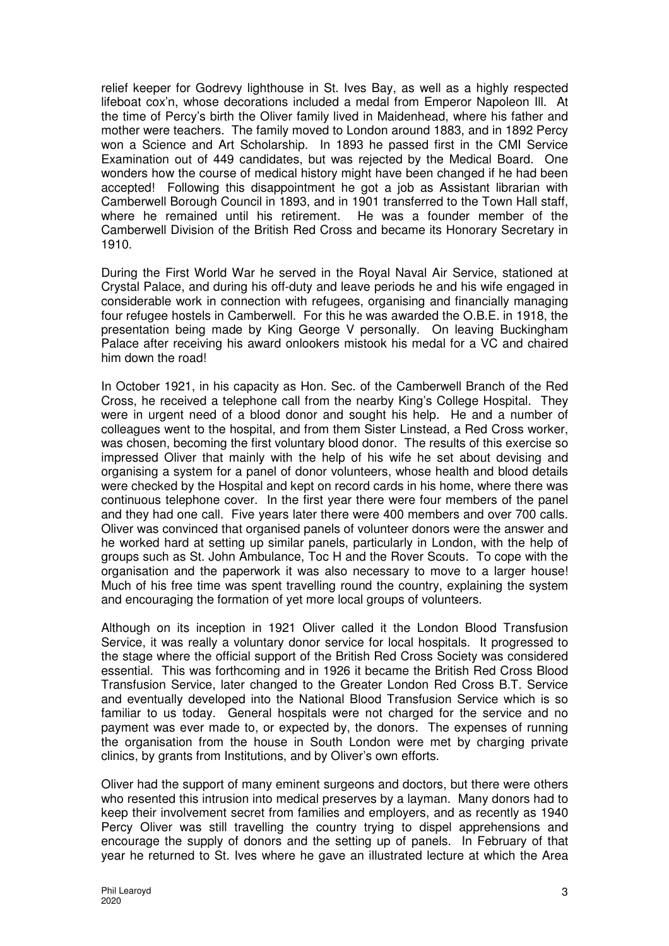relief keeper for Godrevy lighthouse in St. Ives Bay, as well as a highly respected lifeboat cox'n, whose decorations included a medal from Emperor Napoleon Ill. At the time of Percy's birth the Oliver family lived in Maidenhead, where his father and mother were teachers. The family moved to London around 1883, and in 1892 Percy won a Science and Art Scholarship. In 1893 he passed first in the CMI Service Examination out of 449 candidates, but was rejected by the Medical Board. One wonders how the course of medical history might have been changed if he had been accepted! Following this disappointment he got a job as Assistant librarian with Camberwell Borough Council in 1893, and in 1901 transferred to the Town Hall staff, where he remained until his retirement. He was a founder member of the Camberwell Division of the British Red Cross and became its Honorary Secretary in 1910.

During the First World War he served in the Royal Naval Air Service, stationed at Crystal Palace, and during his off-duty and leave periods he and his wife engaged in considerable work in connection with refugees, organising and financially managing four refugee hostels in Camberwell. For this he was awarded the O.B.E. in 1918, the presentation being made by King George V personally. On leaving Buckingham Palace after receiving his award onlookers mistook his medal for a VC and chaired him down the road!

In October 1921, in his capacity as Hon. Sec. of the Camberwell Branch of the Red Cross, he received a telephone call from the nearby King's College Hospital. They were in urgent need of a blood donor and sought his help. He and a number of colleagues went to the hospital, and from them Sister Linstead, a Red Cross worker, was chosen, becoming the first voluntary blood donor. The results of this exercise so impressed Oliver that mainly with the help of his wife he set about devising and organising a system for a panel of donor volunteers, whose health and blood details were checked by the Hospital and kept on record cards in his home, where there was continuous telephone cover. In the first year there were four members of the panel and they had one call. Five years later there were 400 members and over 700 calls. Oliver was convinced that organised panels of volunteer donors were the answer and he worked hard at setting up similar panels, particularly in London, with the help of groups such as St. John Ambulance, Toc H and the Rover Scouts. To cope with the organisation and the paperwork it was also necessary to move to a larger house! Much of his free time was spent travelling round the country, explaining the system and encouraging the formation of yet more local groups of volunteers.

Although on its inception in 1921 Oliver called it the London Blood Transfusion Service, it was really a voluntary donor service for local hospitals. It progressed to the stage where the official support of the British Red Cross Society was considered essential. This was forthcoming and in 1926 it became the British Red Cross Blood Transfusion Service, later changed to the Greater London Red Cross B.T. Service and eventually developed into the National Blood Transfusion Service which is so familiar to us today. General hospitals were not charged for the service and no payment was ever made to, or expected by, the donors. The expenses of running the organisation from the house in South London were met by charging private clinics, by grants from Institutions, and by Oliver's own efforts.

Oliver had the support of many eminent surgeons and doctors, but there were others who resented this intrusion into medical preserves by a layman. Many donors had to keep their involvement secret from families and employers, and as recently as 1940 Percy Oliver was still travelling the country trying to dispel apprehensions and encourage the supply of donors and the setting up of panels. In February of that year he returned to St. Ives where he gave an illustrated lecture at which the Area